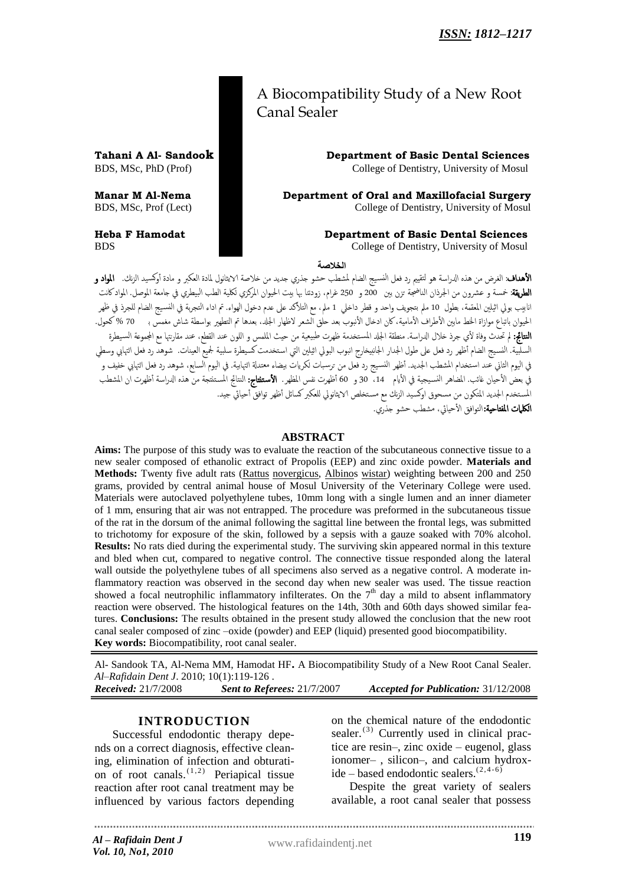## A Biocompatibility Study of a New Root Canal Sealer

**Tahani A Al- Sandook Department of Basic Dental Sciences**  BDS, MSc, PhD (Prof) College of Dentistry, University of Mosul

**Manar M Al-Nema Department of Oral and Maxillofacial Surgery**  BDS, MSc, Prof (Lect) College of Dentistry, University of Mosul

### **Heba F Hamodat Department of Basic Dental Sciences**

BDS College of Dentistry, University of Mosul

**الخالصة**

**الأهداف**: الغرض من هذه الدراسة هو لتقييم رد فعل النسيج الضام لمشطب حشو جذري جديد من خلاصة الايثانول لمادة العكبر و مادة أوكسيد الزنك. **المواد و** الطريقة: خمسة و عشرون من الجرذان الناضجة تزن بين 200 و 250 غرام، زودتنا بها بيت الحيوان المركزي لكلية الطب البيطري في جامعة الموصل. الموادكانت انابيب بولي اثيلين المعقمة، بطول 10 ملم بتجويف واحد و قطر داخلي 1 ملم، مع التلأكد على عدم دخول الهواء. تم اداء التجربة في النسيج الضام للجرذ في ظهر الحيوان باتباع موازاة الحط مابين الأطراف الأمامية، كان ادخال الأنبوب بعد حَلق الشعر لاظهار الجلد، بعدها تم التطهير بواسطة شاش مغمس ب  $70$  % كحول. .<br>**النتائج:** لم تحدث وفاة لأي جرذ خلال الدراسة. منطقة الجلد المستخدمة ظهرت طبيعية من حيث الملمس و اللون عند القطع، عند مقارنتها مع المجموعة السيطرة السلبية. النسيج الضام أظهر رد فعل على طول الجدار الجانبيخارج انبوب البولي اثيلين التي استخدمت كسيطرة سلبية لجميع العينات. شوهد رد فعل التهابي وسطى .<br>في اليوم الثاني عند استخدام المشطب الجديد. أظهر النسيج رد فعل من ترسبات لكريات بيضاء معتدلة التهابية. في اليوم السابع، شوهد رد فعل التهابي خفيف و في بعض الأحيان غائب. المضاهر النسيجية في الأيام 14، 30 و 60 أظهرت نفس المطهر. **الأستنتاج:** الستانج المستنتجة من هذه الدراسة أظهرت ان المشطب المستخدم الجديد المتكون من مسحوق اوكسيد الزنك مع مستخلص الايثانولي للعكبر كسائل أظهر توافق أحيائي جيد. **الكلمات المفتاحية:**التوافق الأحيائي، مشطب حشو جذري.

### **ABSTRACT**

**Aims:** The purpose of this study was to evaluate the reaction of the subcutaneous connective tissue to a new sealer composed of ethanolic extract of Propolis (EEP) and zinc oxide powder. **Materials and Methods:** Twenty five adult rats (Rattus novergicus, Albinos wistar) weighting between 200 and 250 grams, provided by central animal house of Mosul University of the Veterinary College were used. Materials were autoclaved polyethylene tubes, 10mm long with a single lumen and an inner diameter of 1 mm, ensuring that air was not entrapped. The procedure was preformed in the subcutaneous tissue of the rat in the dorsum of the animal following the sagittal line between the frontal legs, was submitted to trichotomy for exposure of the skin, followed by a sepsis with a gauze soaked with 70% alcohol. **Results:** No rats died during the experimental study. The surviving skin appeared normal in this texture and bled when cut, compared to negative control. The connective tissue responded along the lateral wall outside the polyethylene tubes of all specimens also served as a negative control. A moderate inflammatory reaction was observed in the second day when new sealer was used. The tissue reaction showed a focal neutrophilic inflammatory infilterates. On the  $7<sup>th</sup>$  day a mild to absent inflammatory reaction were observed. The histological features on the 14th, 30th and 60th days showed similar features. **Conclusions:** The results obtained in the present study allowed the conclusion that the new root canal sealer composed of zinc –oxide (powder) and EEP (liquid) presented good biocompatibility. **Key words:** Biocompatibility, root canal sealer.

Al- Sandook TA, Al-Nema MM, Hamodat HF**.** A Biocompatibility Study of a New Root Canal Sealer. *Al–Rafidain Dent J*. 2010; 10(1):119-126 . *Received:* 21/7/2008 *Sent to Referees:* 21/7/2007 *Accepted for Publication:* 31/12/2008

### **INTRODUCTION**

Successful endodontic therapy depends on a correct diagnosis, effective cleaning, elimination of infection and obturation of root canals.  $(1,2)$  Periapical tissue reaction after root canal treatment may be influenced by various factors depending

on the chemical nature of the endodontic sealer. $^{(3)}$  Currently used in clinical practice are resin–, zinc oxide – eugenol, glass ionomer– , silicon–, and calcium hydrox $ide - based endodonic scalers.$ <sup>(2,4-6)</sup>

Despite the great variety of sealers available, a root canal sealer that possess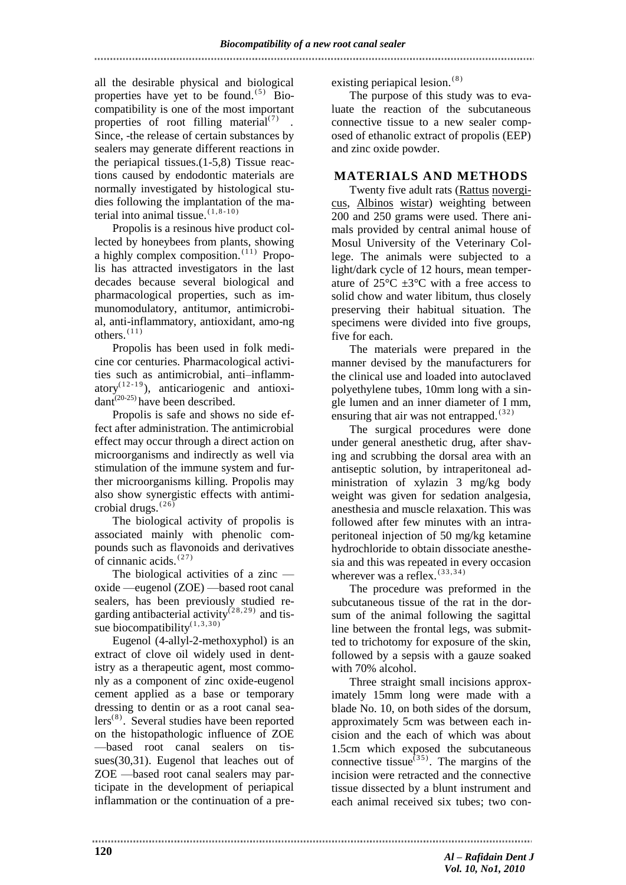all the desirable physical and biological properties have yet to be found.  $^{(5)}$  Biocompatibility is one of the most important properties of root filling material $(7)$ . Since, -the release of certain substances by sealers may generate different reactions in the periapical tissues.(1-5,8) Tissue reactions caused by endodontic materials are normally investigated by histological studies following the implantation of the material into animal tissue.  $(1, 8-10)$ 

Propolis is a resinous hive product collected by honeybees from plants, showing a highly complex composition.<sup>(11)</sup> Propolis has attracted investigators in the last decades because several biological and pharmacological properties, such as immunomodulatory, antitumor, antimicrobial, anti-inflammatory, antioxidant, amo-ng  $others.$ <sup>(11)</sup>

Propolis has been used in folk medicine cor centuries. Pharmacological activities such as antimicrobial, anti–inflammatory<sup> $(12-19)$ </sup>, anticariogenic and antioxi $d$ ant<sup>(20-25)</sup> have been described.

Propolis is safe and shows no side effect after administration. The antimicrobial effect may occur through a direct action on microorganisms and indirectly as well via stimulation of the immune system and further microorganisms killing. Propolis may also show synergistic effects with antimicrobial drugs.  $(26)$ 

The biological activity of propolis is associated mainly with phenolic compounds such as flavonoids and derivatives of cinnanic acids. $(27)$ 

The biological activities of a zinc oxide —eugenol (ZOE) —based root canal sealers, has been previously studied regarding antibacterial activity<sup> $(28, 29)$ </sup> and tissue biocompatibility $(1,3,30)$ 

Eugenol (4-allyl-2-methoxyphol) is an extract of clove oil widely used in dentistry as a therapeutic agent, most commonly as a component of zinc oxide-eugenol cement applied as a base or temporary dressing to dentin or as a root canal sea $lers^{(8)}$ . Several studies have been reported on the histopathologic influence of ZOE —based root canal sealers on tissues(30,31). Eugenol that leaches out of ZOE —based root canal sealers may participate in the development of periapical inflammation or the continuation of a preexisting periapical lesion.<sup>(8)</sup>

The purpose of this study was to evaluate the reaction of the subcutaneous connective tissue to a new sealer composed of ethanolic extract of propolis (EEP) and zinc oxide powder.

### **MATERIALS AND METHODS**

Twenty five adult rats (Rattus novergicus, Albinos wistar) weighting between 200 and 250 grams were used. There animals provided by central animal house of Mosul University of the Veterinary College. The animals were subjected to a light/dark cycle of 12 hours, mean temperature of  $25^{\circ}$ C  $+3^{\circ}$ C with a free access to solid chow and water libitum, thus closely preserving their habitual situation. The specimens were divided into five groups, five for each.

The materials were prepared in the manner devised by the manufacturers for the clinical use and loaded into autoclaved polyethylene tubes, 10mm long with a single lumen and an inner diameter of I mm, ensuring that air was not entrapped. $(32)$ 

The surgical procedures were done under general anesthetic drug, after shaving and scrubbing the dorsal area with an antiseptic solution, by intraperitoneal administration of xylazin 3 mg/kg body weight was given for sedation analgesia, anesthesia and muscle relaxation. This was followed after few minutes with an intraperitoneal injection of 50 mg/kg ketamine hydrochloride to obtain dissociate anesthesia and this was repeated in every occasion wherever was a reflex.  $(33,34)$ 

The procedure was preformed in the subcutaneous tissue of the rat in the dorsum of the animal following the sagittal line between the frontal legs, was submitted to trichotomy for exposure of the skin, followed by a sepsis with a gauze soaked with 70% alcohol.

Three straight small incisions approximately 15mm long were made with a blade No. 10, on both sides of the dorsum, approximately 5cm was between each incision and the each of which was about 1.5cm which exposed the subcutaneous connective tissue $^{(35)}$ . The margins of the incision were retracted and the connective tissue dissected by a blunt instrument and each animal received six tubes; two con-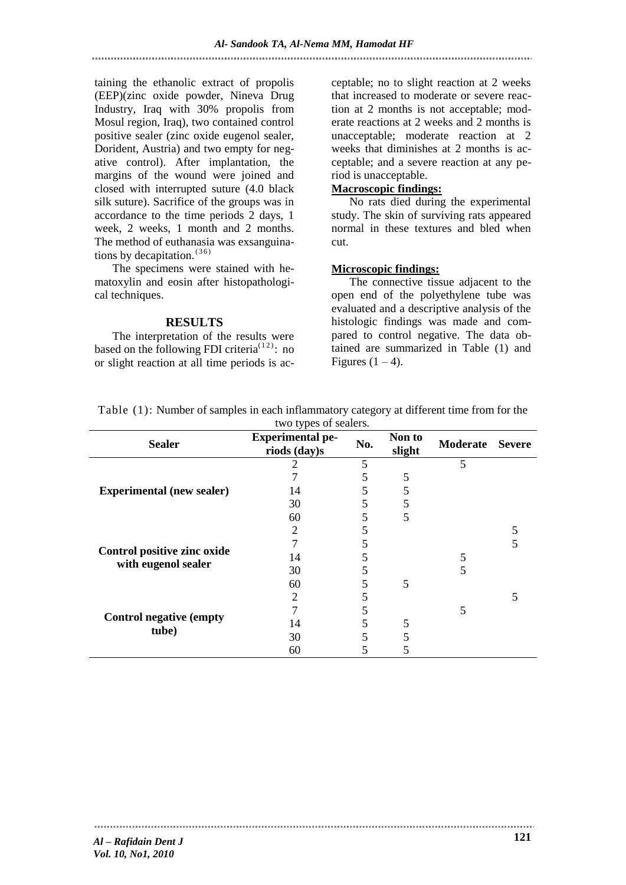taining the ethanolic extract of propolis (EEP)(zinc oxide powder, Nineva Drug Industry, Iraq with 30% propolis from Mosul region, Iraq), two contained control positive sealer (zinc oxide eugenol sealer, Dorident, Austria) and two empty for negative control). After implantation, the margins of the wound were joined and closed with interrupted suture (4.0 black silk suture). Sacrifice of the groups was in accordance to the time periods 2 days, 1 week, 2 weeks, 1 month and 2 months. The method of euthanasia was exsanguinations by decapitation.<sup>(36)</sup>

The specimens were stained with hematoxylin and eosin after histopathological techniques.

### **RESULTS**

The interpretation of the results were based on the following FDI criteria<sup> $(12)$ </sup>: no or slight reaction at all time periods is acceptable; no to slight reaction at 2 weeks that increased to moderate or severe reaction at 2 months is not acceptable; moderate reactions at 2 weeks and 2 months is unacceptable; moderate reaction at 2 weeks that diminishes at 2 months is acceptable; and a severe reaction at any period is unacceptable.

### **Macroscopic findings:**

No rats died during the experimental study. The skin of surviving rats appeared normal in these textures and bled when cut.

### **Microscopic findings:**

The connective tissue adjacent to the open end of the polyethylene tube was evaluated and a descriptive analysis of the histologic findings was made and compared to control negative. The data obtained are summarized in Table (1) and Figures  $(1 – 4)$ .

| <b>Sealer</b>                                      | $\cdots$ $\cdots$ $\cdots$ $\cdots$<br><b>Experimental pe-</b><br>riods (day)s | No. | Non to<br>slight | Moderate Severe |  |
|----------------------------------------------------|--------------------------------------------------------------------------------|-----|------------------|-----------------|--|
| <b>Experimental (new sealer)</b>                   |                                                                                | 5   |                  | 5               |  |
|                                                    |                                                                                |     |                  |                 |  |
|                                                    | 14                                                                             | 5   | 5                |                 |  |
|                                                    | 30                                                                             | 5   | 5                |                 |  |
|                                                    | 60                                                                             |     | 5                |                 |  |
| Control positive zinc oxide<br>with eugenol sealer | 2                                                                              |     |                  |                 |  |
|                                                    |                                                                                |     |                  |                 |  |
|                                                    | 14                                                                             |     |                  |                 |  |
|                                                    | 30                                                                             |     |                  | 5               |  |
|                                                    | 60                                                                             | 5   | 5                |                 |  |
| <b>Control negative (empty</b><br>tube)            | 2                                                                              |     |                  |                 |  |
|                                                    |                                                                                |     |                  | 5               |  |
|                                                    | 14                                                                             |     | 5                |                 |  |
|                                                    | 30                                                                             | 5   |                  |                 |  |
|                                                    | 60                                                                             |     |                  |                 |  |

Table (1): Number of samples in each inflammatory category at different time from for the two types of sealers.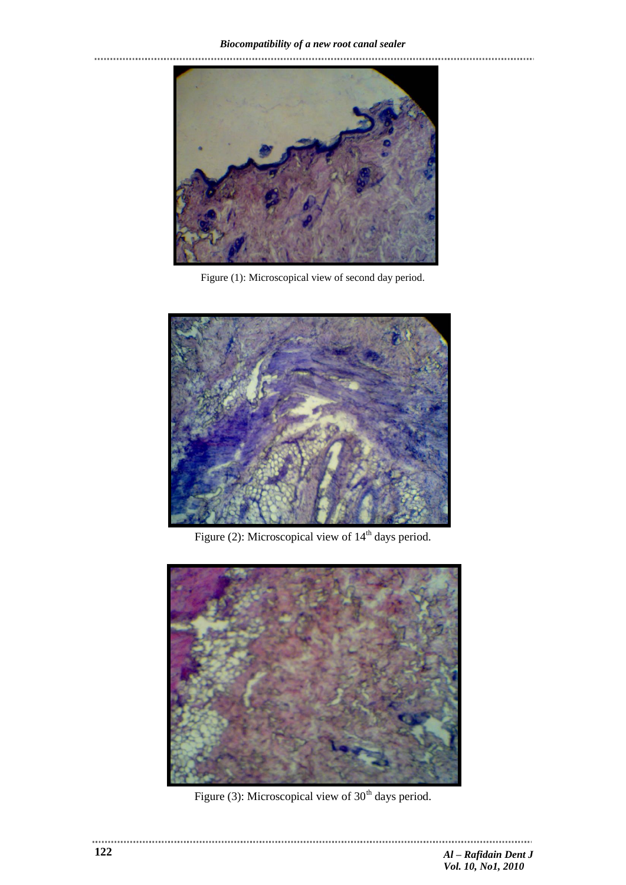# *Biocompatibility of a new root canal sealer*



Figure (1): Microscopical view of second day period.



Figure (2): Microscopical view of  $14<sup>th</sup>$  days period.



Figure (3): Microscopical view of  $30<sup>th</sup>$  days period.

. . . . . . . . . . . . . . . . . . . .

 $\frac{1}{2}$  =  $\frac{1}{2}$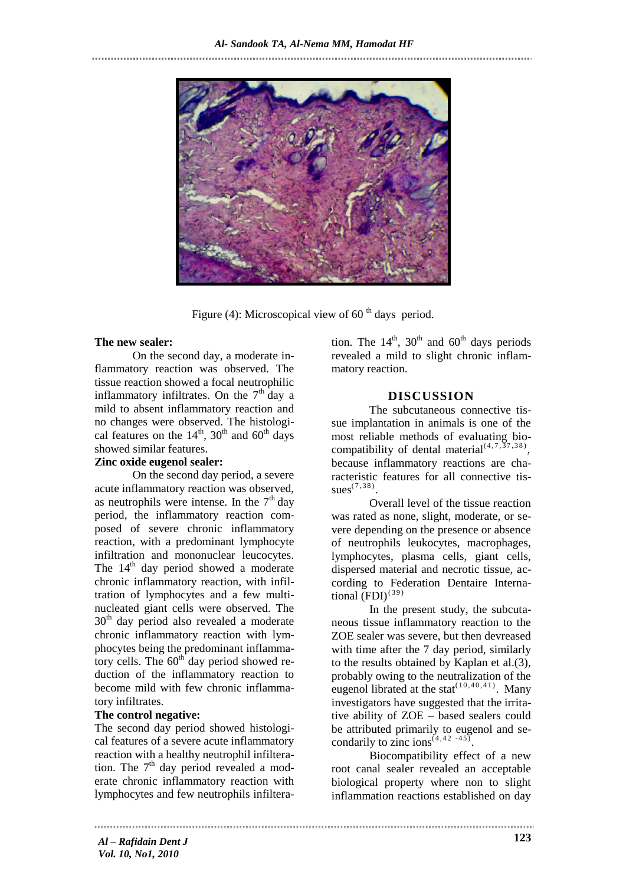

Figure (4): Microscopical view of 60 $^{\text{th}}$  days period.

### **The new sealer:**

On the second day, a moderate inflammatory reaction was observed. The tissue reaction showed a focal neutrophilic inflammatory infiltrates. On the  $7<sup>th</sup>$  day a mild to absent inflammatory reaction and no changes were observed. The histological features on the  $14^{\text{th}}$ , 30<sup>th</sup> and 60<sup>th</sup> days showed similar features.

### **Zinc oxide eugenol sealer:**

On the second day period, a severe acute inflammatory reaction was observed, as neutrophils were intense. In the  $7<sup>th</sup>$  day period, the inflammatory reaction composed of severe chronic inflammatory reaction, with a predominant lymphocyte infiltration and mononuclear leucocytes. The  $14<sup>th</sup>$  day period showed a moderate chronic inflammatory reaction, with infiltration of lymphocytes and a few multinucleated giant cells were observed. The  $30<sup>th</sup>$  day period also revealed a moderate chronic inflammatory reaction with lymphocytes being the predominant inflammatory cells. The  $60<sup>th</sup>$  day period showed reduction of the inflammatory reaction to become mild with few chronic inflammatory infiltrates.

### **The control negative:**

The second day period showed histological features of a severe acute inflammatory reaction with a healthy neutrophil infilteration. The  $7<sup>th</sup>$  day period revealed a moderate chronic inflammatory reaction with lymphocytes and few neutrophils infiltera-

tion. The  $14<sup>th</sup>$ ,  $30<sup>th</sup>$  and  $60<sup>th</sup>$  days periods revealed a mild to slight chronic inflammatory reaction.

### **DISCUSSION**

The subcutaneous connective tissue implantation in animals is one of the most reliable methods of evaluating biocompatibility of dental material<sup> $(4,7,37,38)$ </sup>, because inflammatory reactions are characteristic features for all connective tissues $^{(7,38)}$ .

Overall level of the tissue reaction was rated as none, slight, moderate, or severe depending on the presence or absence of neutrophils leukocytes, macrophages, lymphocytes, plasma cells, giant cells, dispersed material and necrotic tissue, according to Federation Dentaire International  $(FDI)^{(39)}$ 

In the present study, the subcutaneous tissue inflammatory reaction to the ZOE sealer was severe, but then devreased with time after the 7 day period, similarly to the results obtained by Kaplan et al.(3), probably owing to the neutralization of the eugenol librated at the stat<sup> $(10, 40, 41)$ </sup>. Many investigators have suggested that the irritative ability of ZOE – based sealers could be attributed primarily to eugenol and secondarily to zinc ions<sup> $(4, 42, -45)$ </sup>.

Biocompatibility effect of a new root canal sealer revealed an acceptable biological property where non to slight inflammation reactions established on day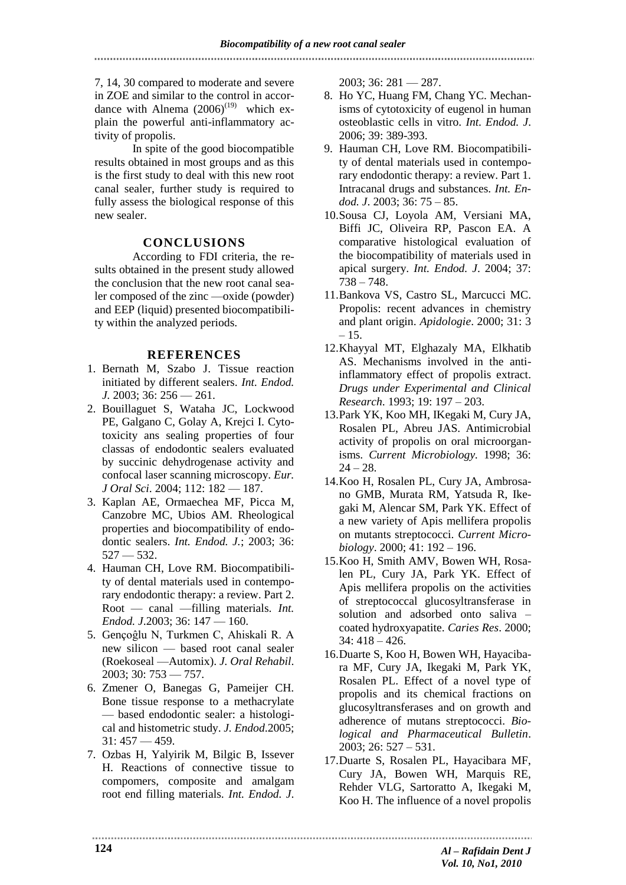7, 14, 30 compared to moderate and severe in ZOE and similar to the control in accordance with Alnema  $(2006)^{(19)}$  which explain the powerful anti-inflammatory activity of propolis.

In spite of the good biocompatible results obtained in most groups and as this is the first study to deal with this new root canal sealer, further study is required to fully assess the biological response of this new sealer.

### **CONCLUSIONS**

According to FDI criteria, the results obtained in the present study allowed the conclusion that the new root canal sealer composed of the zinc —oxide (powder) and EEP (liquid) presented biocompatibility within the analyzed periods.

### **REFERENCES**

- 1. Bernath M, Szabo J. Tissue reaction initiated by different sealers. *Int. Endod. J.* 2003; 36: 256 — 261.
- 2. Bouillaguet S, Wataha JC, Lockwood PE, Galgano C, Golay A, Krejci I. Cytotoxicity ans sealing properties of four classas of endodontic sealers evaluated by succinic dehydrogenase activity and confocal laser scanning microscopy. *Eur. J Oral Sci*. 2004; 112: 182 — 187.
- 3. Kaplan AE, Ormaechea MF, Picca M, Canzobre MC, Ubios AM. Rheological properties and biocompatibility of endodontic sealers. *Int. Endod. J.*; 2003; 36:  $527 - 532.$
- 4. Hauman CH, Love RM. Biocompatibility of dental materials used in contemporary endodontic therapy: a review. Part 2. Root — canal —filling materials. *Int. Endod. J*.2003; 36: 147 — 160.
- 5. Gençoĝlu N, Turkmen C, Ahiskali R. A new silicon — based root canal sealer (Roekoseal —Automix). *J. Oral Rehabil*. 2003; 30: 753 — 757.
- 6. Zmener O, Banegas G, Pameijer CH. Bone tissue response to a methacrylate — based endodontic sealer: a histological and histometric study. *J. Endod*.2005;  $31:457 - 459.$
- 7. Ozbas H, Yalyirik M, Bilgic B, Issever H. Reactions of connective tissue to compomers, composite and amalgam root end filling materials. *Int. Endod. J*.

2003; 36: 281 — 287.

- 8. Ho YC, Huang FM, Chang YC. Mechanisms of cytotoxicity of eugenol in human osteoblastic cells in vitro. *Int. Endod. J*. 2006; 39: 389-393.
- 9. Hauman CH, Love RM. Biocompatibility of dental materials used in contemporary endodontic therapy: a review. Part 1. Intracanal drugs and substances. *Int. Endod. J*. 2003; 36: 75 – 85.
- 10.Sousa CJ, Loyola AM, Versiani MA, Biffi JC, Oliveira RP, Pascon EA. A comparative histological evaluation of the biocompatibility of materials used in apical surgery. *Int. Endod. J*. 2004; 37: 738 – 748.
- 11.Bankova VS, Castro SL, Marcucci MC. Propolis: recent advances in chemistry and plant origin. *Apidologie*. 2000; 31: 3  $-15.$
- 12.Khayyal MT, Elghazaly MA, Elkhatib AS. Mechanisms involved in the antiinflammatory effect of propolis extract. *Drugs under Experimental and Clinical Research*. 1993; 19: 197 – 203.
- 13.Park YK, Koo MH, IKegaki M, Cury JA, Rosalen PL, Abreu JAS. Antimicrobial activity of propolis on oral microorganisms. *Current Microbiology.* 1998; 36:  $24 - 28.$
- 14.Koo H, Rosalen PL, Cury JA, Ambrosano GMB, Murata RM, Yatsuda R, Ikegaki M, Alencar SM, Park YK. Effect of a new variety of Apis mellifera propolis on mutants streptococci. *Current Microbiology*. 2000; 41: 192 – 196.
- 15.Koo H, Smith AMV, Bowen WH, Rosalen PL, Cury JA, Park YK. Effect of Apis mellifera propolis on the activities of streptococcal glucosyltransferase in solution and adsorbed onto saliva – coated hydroxyapatite. *Caries Res*. 2000; 34: 418 – 426.
- 16.Duarte S, Koo H, Bowen WH, Hayacibara MF, Cury JA, Ikegaki M, Park YK, Rosalen PL. Effect of a novel type of propolis and its chemical fractions on glucosyltransferases and on growth and adherence of mutans streptococci. *Biological and Pharmaceutical Bulletin*. 2003; 26: 527 – 531.
- 17.Duarte S, Rosalen PL, Hayacibara MF, Cury JA, Bowen WH, Marquis RE, Rehder VLG, Sartoratto A, Ikegaki M, Koo H. The influence of a novel propolis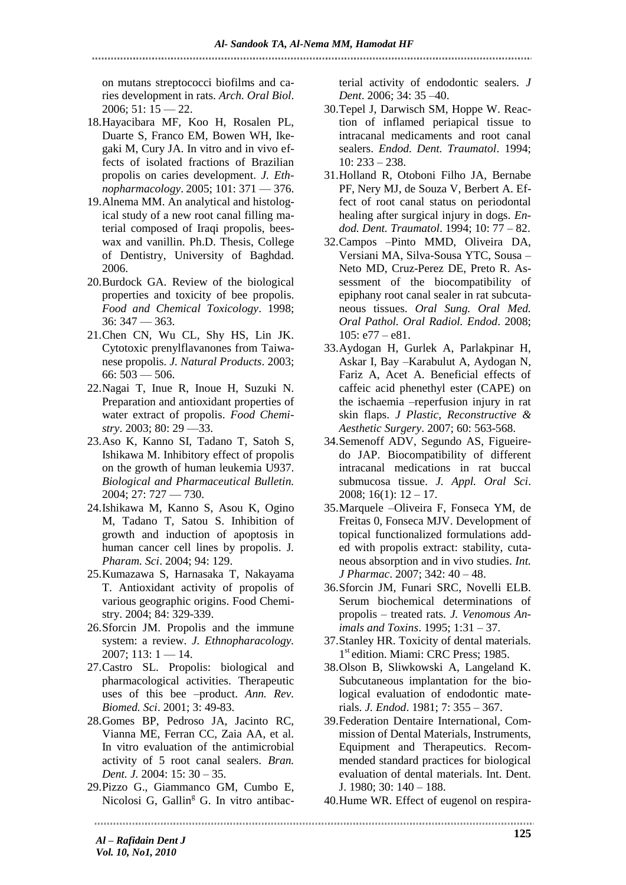on mutans streptococci biofilms and caries development in rats. *Arch. Oral Biol*.  $2006$ ; 51:  $15 - 22$ .

- 18.Hayacibara MF, Koo H, Rosalen PL, Duarte S, Franco EM, Bowen WH, Ikegaki M, Cury JA. In vitro and in vivo effects of isolated fractions of Brazilian propolis on caries development. *J. Ethnopharmacology*. 2005; 101: 371 — 376.
- 19.Alnema MM. An analytical and histological study of a new root canal filling material composed of Iraqi propolis, beeswax and vanillin. Ph.D. Thesis, College of Dentistry, University of Baghdad. 2006.
- 20.Burdock GA. Review of the biological properties and toxicity of bee propolis. *Food and Chemical Toxicology*. 1998; 36: 347 — 363.
- 21.Chen CN, Wu CL, Shy HS, Lin JK. Cytotoxic prenylflavanones from Taiwanese propolis*. J. Natural Products*. 2003;  $66:503 - 506.$
- 22.Nagai T, Inue R, Inoue H, Suzuki N. Preparation and antioxidant properties of water extract of propolis. *Food Chemistry*. 2003; 80: 29 —33.
- 23.Aso K, Kanno SI, Tadano T, Satoh S, Ishikawa M. Inhibitory effect of propolis on the growth of human leukemia U937. *Biological and Pharmaceutical Bulletin.* 2004; 27: 727 — 730.
- 24.Ishikawa M, Kanno S, Asou K, Ogino M, Tadano T, Satou S. Inhibition of growth and induction of apoptosis in human cancer cell lines by propolis. J*. Pharam. Sci*. 2004; 94: 129.
- 25.Kumazawa S, Harnasaka T, Nakayama T. Antioxidant activity of propolis of various geographic origins. Food Chemistry. 2004; 84: 329-339.
- 26.Sforcin JM. Propolis and the immune system: a review. *J. Ethnopharacology.*  $2007$ ; 113: 1 — 14.
- 27.Castro SL. Propolis: biological and pharmacological activities. Therapeutic uses of this bee –product. Ann. Rev. *Biomed. Sci*. 2001; 3: 49-83.
- 28.Gomes BP, Pedroso JA, Jacinto RC, Vianna ME, Ferran CC, Zaia AA, et al. In vitro evaluation of the antimicrobial activity of 5 root canal sealers. *Bran. Dent. J.* 2004: 15: 30 – 35.
- 29.Pizzo G., Giammanco GM, Cumbo E, Nicolosi G, Gallin<sup>g</sup> G. In vitro antibac-

terial activity of endodontic sealers. *J Dent*. 2006; 34: 35 –40.

- 30.Tepel J, Darwisch SM, Hoppe W. Reaction of inflamed periapical tissue to intracanal medicaments and root canal sealers. *Endod. Dent. Traumatol*. 1994; 10: 233 – 238.
- 31.Holland R, Otoboni Filho JA, Bernabe PF, Nery MJ, de Souza V, Berbert A. Effect of root canal status on periodontal healing after surgical injury in dogs. *Endod. Dent. Traumatol*. 1994; 10: 77 – 82.
- 32.Campos –Pinto MMD, Oliveira DA, Versiani MA, Silva-Sousa YTC, Sousa – Neto MD, Cruz-Perez DE, Preto R. Assessment of the biocompatibility of epiphany root canal sealer in rat subcutaneous tissues. *Oral Sung. Oral Med. Oral Pathol. Oral Radiol. Endod*. 2008;  $105: e77 - e81.$
- 33.Aydogan H, Gurlek A, Parlakpinar H, Askar I, Bay –Karabulut A, Aydogan N, Fariz A, Acet A. Beneficial effects of caffeic acid phenethyl ester (CAPE) on the ischaemia –reperfusion injury in rat skin flaps. *J Plastic, Reconstructive & Aesthetic Surgery*. 2007; 60: 563-568.
- 34.Semenoff ADV, Segundo AS, Figueiredo JAP. Biocompatibility of different intracanal medications in rat buccal submucosa tissue. *J. Appl. Oral Sci*. 2008;  $16(1)$ :  $12 - 17$ .
- 35.Marquele –Oliveira F, Fonseca YM, de Freitas 0, Fonseca MJV. Development of topical functionalized formulations added with propolis extract: stability, cutaneous absorption and in vivo studies. *Int. J Pharmac*. 2007; 342: 40 – 48.
- 36.Sforcin JM, Funari SRC, Novelli ELB. Serum biochemical determinations of propolis – treated rats. *J. Venomous Animals and Toxins*. 1995; 1:31 – 37.
- 37.Stanley HR. Toxicity of dental materials. 1<sup>st</sup> edition. Miami: CRC Press; 1985.
- 38.Olson B, Sliwkowski A, Langeland K. Subcutaneous implantation for the biological evaluation of endodontic materials. *J. Endod*. 1981; 7: 355 – 367.
- 39.Federation Dentaire International, Commission of Dental Materials, Instruments, Equipment and Therapeutics. Recommended standard practices for biological evaluation of dental materials. Int. Dent. J. 1980; 30: 140 – 188.
- 40.Hume WR. Effect of eugenol on respira-

*Al – Rafidain Dent J Vol. 10, No1, 2010*